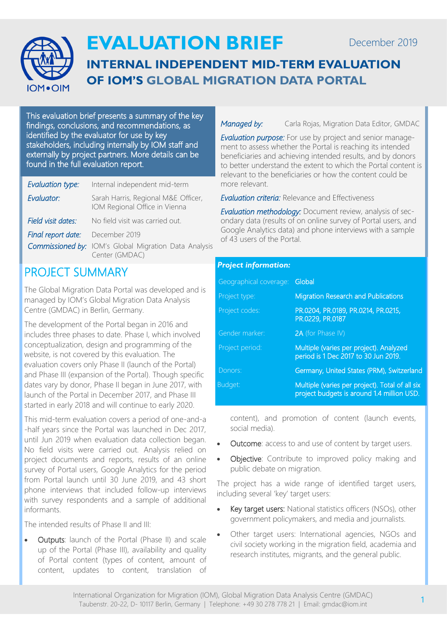

# **EVALUATION BRIEF**

## **INTERNAL INDEPENDENT MID-TERM EVALUATION OF IOM'S GLOBAL MIGRATION DATA PORTAL**

This evaluation brief presents a summary of the key findings, conclusions, and recommendations, as identified by the evaluator for use by key stakeholders, including internally by IOM staff and externally by project partners. More details can be found in the full evaluation report.

| Evaluation type:   | Internal independent mid-term                                                  |
|--------------------|--------------------------------------------------------------------------------|
| Evaluator:         | Sarah Harris, Regional M&E Officer,<br>IOM Regional Office in Vienna           |
| Field visit dates: | No field visit was carried out.                                                |
| Final report date: | December 2019                                                                  |
|                    | <b>Commissioned by:</b> IOM's Global Migration Data Analysis<br>Center (GMDAC) |

### PROJECT SUMMARY

The Global Migration Data Portal was developed and is managed by IOM's Global Migration Data Analysis Centre (GMDAC) in Berlin, Germany.

The development of the Portal began in 2016 and includes three phases to date. Phase I, which involved conceptualization, design and programming of the website, is not covered by this evaluation. The evaluation covers only Phase II (launch of the Portal) and Phase III (expansion of the Portal). Though specific dates vary by donor, Phase II began in June 2017, with launch of the Portal in December 2017, and Phase III started in early 2018 and will continue to early 2020.

This mid-term evaluation covers a period of one-and-a -half years since the Portal was launched in Dec 2017, until Jun 2019 when evaluation data collection began. No field visits were carried out. Analysis relied on project documents and reports, results of an online survey of Portal users, Google Analytics for the period from Portal launch until 30 June 2019, and 43 short phone interviews that included follow-up interviews with survey respondents and a sample of additional informants.

The intended results of Phase II and III:

• Outputs: launch of the Portal (Phase II) and scale up of the Portal (Phase III), availability and quality of Portal content (types of content, amount of content, updates to content, translation of

*Managed by:* Carla Rojas, Migration Data Editor, GMDAC

*Evaluation purpose:* For use by project and senior management to assess whether the Portal is reaching its intended beneficiaries and achieving intended results, and by donors to better understand the extent to which the Portal content is relevant to the beneficiaries or how the content could be more relevant.

*Evaluation criteria:* Relevance and Effectiveness

*Evaluation methodology:* Document review, analysis of secondary data (results of on online survey of Portal users, and Google Analytics data) and phone interviews with a sample of 43 users of the Portal.

### *Project information:*

| Geographical coverage: Global |                                                                                               |
|-------------------------------|-----------------------------------------------------------------------------------------------|
| Project type:                 | <b>Migration Research and Publications</b>                                                    |
| Project codes:                | PR.0204, PR.0189, PR.0214, PR.0215,<br>PR.0229, PR.0187                                       |
| Gender marker:                | 2A (for Phase IV)                                                                             |
| Project period:               | Multiple (varies per project). Analyzed<br>period is 1 Dec 2017 to 30 Jun 2019.               |
| Donors:                       | Germany, United States (PRM), Switzerland                                                     |
| Budget:                       | Multiple (varies per project). Total of all six<br>project budgets is around 1.4 million USD. |

content), and promotion of content (launch events, social media).

- Outcome: access to and use of content by target users.
- Objective: Contribute to improved policy making and public debate on migration.

The project has a wide range of identified target users, including several 'key' target users:

- Key target users: National statistics officers (NSOs), other government policymakers, and media and journalists.
- Other target users: International agencies, NGOs and civil society working in the migration field, academia and research institutes, migrants, and the general public.